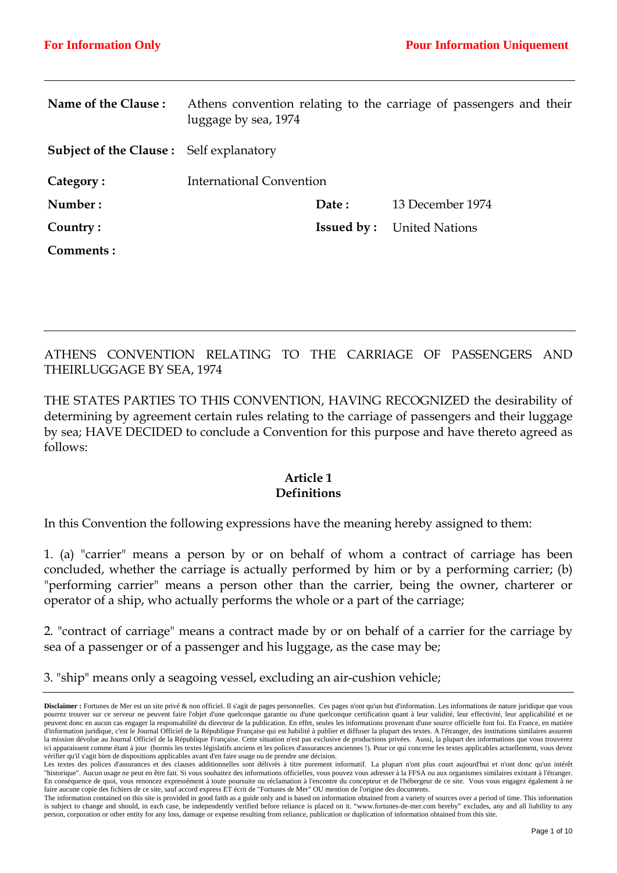| Name of the Clause:                            | Athens convention relating to the carriage of passengers and their<br>luggage by sea, 1974 |       |                                  |                  |  |  |
|------------------------------------------------|--------------------------------------------------------------------------------------------|-------|----------------------------------|------------------|--|--|
| <b>Subject of the Clause:</b> Self explanatory |                                                                                            |       |                                  |                  |  |  |
| Category:                                      | International Convention                                                                   |       |                                  |                  |  |  |
| Number:                                        |                                                                                            | Date: |                                  | 13 December 1974 |  |  |
| Country:                                       |                                                                                            |       | <b>Issued by:</b> United Nations |                  |  |  |
| Comments:                                      |                                                                                            |       |                                  |                  |  |  |

ATHENS CONVENTION RELATING TO THE CARRIAGE OF PASSENGERS AND THEIRLUGGAGE BY SEA, 1974

THE STATES PARTIES TO THIS CONVENTION, HAVING RECOGNIZED the desirability of determining by agreement certain rules relating to the carriage of passengers and their luggage by sea; HAVE DECIDED to conclude a Convention for this purpose and have thereto agreed as follows:

## **Article 1 Definitions**

In this Convention the following expressions have the meaning hereby assigned to them:

1. (a) "carrier" means a person by or on behalf of whom a contract of carriage has been concluded, whether the carriage is actually performed by him or by a performing carrier; (b) "performing carrier" means a person other than the carrier, being the owner, charterer or operator of a ship, who actually performs the whole or a part of the carriage;

2. "contract of carriage" means a contract made by or on behalf of a carrier for the carriage by sea of a passenger or of a passenger and his luggage, as the case may be;

3. "ship" means only a seagoing vessel, excluding an air-cushion vehicle;

**Disclaimer :** Fortunes de Mer est un site privé & non officiel. Il s'agit de pages personnelles. Ces pages n'ont qu'un but d'information. Les informations de nature juridique que vous pourrez trouver sur ce serveur ne peuvent faire l'objet d'une quelconque garantie ou d'une quelconque certification quant à leur validité, leur effectivité, leur applicabilité et ne peuvent donc en aucun cas engager la responsabilité du directeur de la publication. En effet, seules les informations provenant d'une source officielle font foi. En France, en matière d'information juridique, c'est le Journal Officiel de la République Française qui est habilité à publier et diffuser la plupart des textes. A l'étranger, des institutions similaires assurent la mission dévolue au Journal Officiel de la République Française. Cette situation n'est pas exclusive de productions privées. Aussi, la plupart des informations que vous trouverez ici apparaissent comme étant à jour (hormis les textes législatifs anciens et les polices d'assurances anciennes !). Pour ce qui concerne les textes applicables actuellement, vous devez vérifier qu'il s'agit bien de dispositions applicables avant d'en faire usage ou de prendre une décision.

Les textes des polices d'assurances et des clauses additionnelles sont délivrés à titre purement informatif. La plupart n'ont plus court aujourd'hui et n'ont donc qu'un intérêt "historique". Aucun usage ne peut en être fait. Si vous souhaitez des informations officielles, vous pouvez vous adresser à la FFSA ou aux organismes similaires existant à l'étranger. En conséquence de quoi, vous renoncez expressément à toute poursuite ou réclamation à l'encontre du concepteur et de l'hébergeur de ce site. Vous vous engagez également à ne faire aucune copie des fichiers de ce site, sauf accord express ET écrit de "Fortunes de Mer" OU mention de l'origine des documents.

The information contained on this site is provided in good faith as a guide only and is based on information obtained from a variety of sources over a period of time. This information is subject to change and should, in each case, be independently verified before reliance is placed on it. "www.fortunes-de-mer.com hereby" excludes, any and all liability to any person, corporation or other entity for any loss, damage or expense resulting from reliance, publication or duplication of information obtained from this site.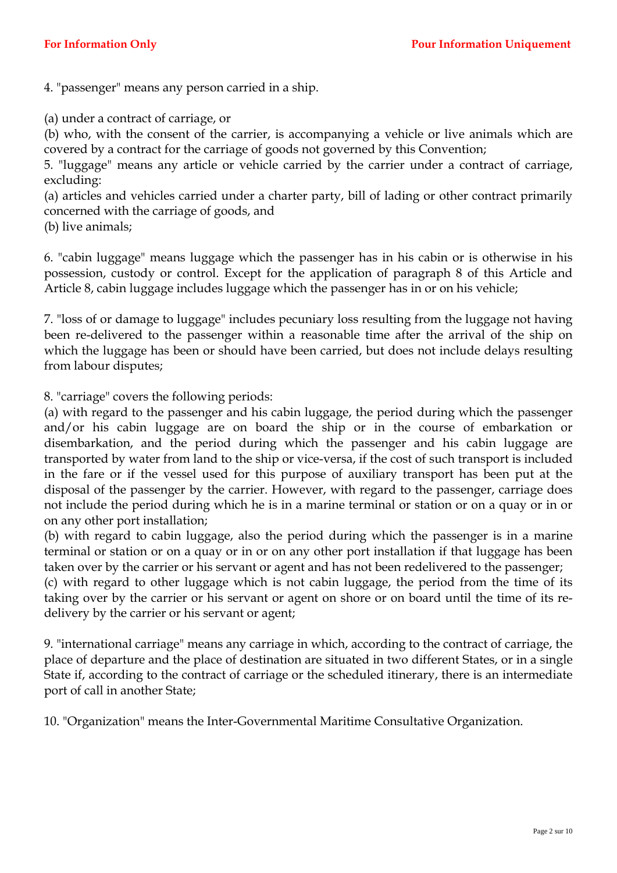4. "passenger" means any person carried in a ship.

(a) under a contract of carriage, or

(b) who, with the consent of the carrier, is accompanying a vehicle or live animals which are covered by a contract for the carriage of goods not governed by this Convention;

5. "luggage" means any article or vehicle carried by the carrier under a contract of carriage, excluding:

(a) articles and vehicles carried under a charter party, bill of lading or other contract primarily concerned with the carriage of goods, and

(b) live animals;

6. "cabin luggage" means luggage which the passenger has in his cabin or is otherwise in his possession, custody or control. Except for the application of paragraph 8 of this Article and Article 8, cabin luggage includes luggage which the passenger has in or on his vehicle;

7. "loss of or damage to luggage" includes pecuniary loss resulting from the luggage not having been re-delivered to the passenger within a reasonable time after the arrival of the ship on which the luggage has been or should have been carried, but does not include delays resulting from labour disputes;

8. "carriage" covers the following periods:

(a) with regard to the passenger and his cabin luggage, the period during which the passenger and/or his cabin luggage are on board the ship or in the course of embarkation or disembarkation, and the period during which the passenger and his cabin luggage are transported by water from land to the ship or vice-versa, if the cost of such transport is included in the fare or if the vessel used for this purpose of auxiliary transport has been put at the disposal of the passenger by the carrier. However, with regard to the passenger, carriage does not include the period during which he is in a marine terminal or station or on a quay or in or on any other port installation;

(b) with regard to cabin luggage, also the period during which the passenger is in a marine terminal or station or on a quay or in or on any other port installation if that luggage has been taken over by the carrier or his servant or agent and has not been redelivered to the passenger;

(c) with regard to other luggage which is not cabin luggage, the period from the time of its taking over by the carrier or his servant or agent on shore or on board until the time of its redelivery by the carrier or his servant or agent;

9. "international carriage" means any carriage in which, according to the contract of carriage, the place of departure and the place of destination are situated in two different States, or in a single State if, according to the contract of carriage or the scheduled itinerary, there is an intermediate port of call in another State;

10. "Organization" means the Inter-Governmental Maritime Consultative Organization.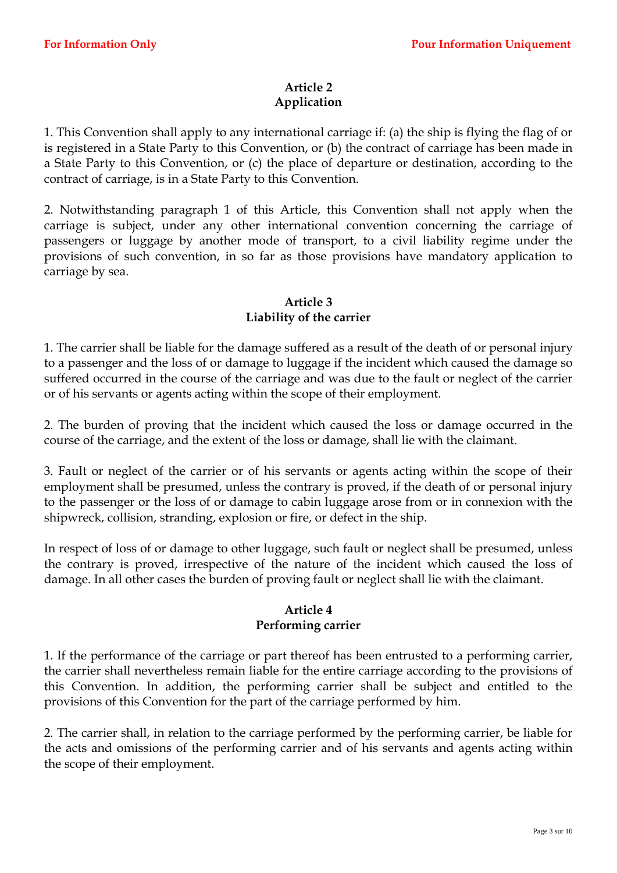# **Article 2 Application**

1. This Convention shall apply to any international carriage if: (a) the ship is flying the flag of or is registered in a State Party to this Convention, or (b) the contract of carriage has been made in a State Party to this Convention, or (c) the place of departure or destination, according to the contract of carriage, is in a State Party to this Convention.

2. Notwithstanding paragraph 1 of this Article, this Convention shall not apply when the carriage is subject, under any other international convention concerning the carriage of passengers or luggage by another mode of transport, to a civil liability regime under the provisions of such convention, in so far as those provisions have mandatory application to carriage by sea.

# **Article 3 Liability of the carrier**

1. The carrier shall be liable for the damage suffered as a result of the death of or personal injury to a passenger and the loss of or damage to luggage if the incident which caused the damage so suffered occurred in the course of the carriage and was due to the fault or neglect of the carrier or of his servants or agents acting within the scope of their employment.

2. The burden of proving that the incident which caused the loss or damage occurred in the course of the carriage, and the extent of the loss or damage, shall lie with the claimant.

3. Fault or neglect of the carrier or of his servants or agents acting within the scope of their employment shall be presumed, unless the contrary is proved, if the death of or personal injury to the passenger or the loss of or damage to cabin luggage arose from or in connexion with the shipwreck, collision, stranding, explosion or fire, or defect in the ship.

In respect of loss of or damage to other luggage, such fault or neglect shall be presumed, unless the contrary is proved, irrespective of the nature of the incident which caused the loss of damage. In all other cases the burden of proving fault or neglect shall lie with the claimant.

#### **Article 4 Performing carrier**

1. If the performance of the carriage or part thereof has been entrusted to a performing carrier, the carrier shall nevertheless remain liable for the entire carriage according to the provisions of this Convention. In addition, the performing carrier shall be subject and entitled to the provisions of this Convention for the part of the carriage performed by him.

2. The carrier shall, in relation to the carriage performed by the performing carrier, be liable for the acts and omissions of the performing carrier and of his servants and agents acting within the scope of their employment.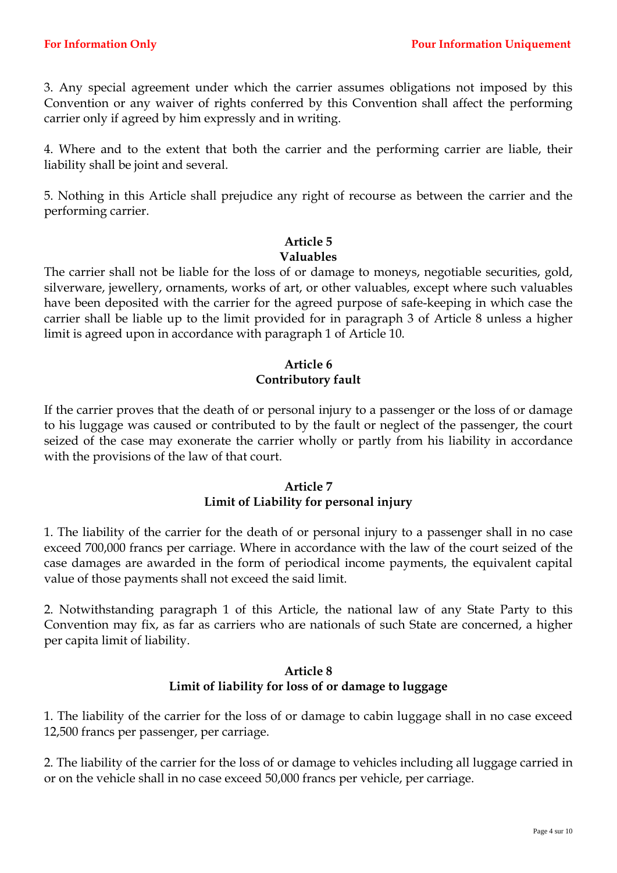3. Any special agreement under which the carrier assumes obligations not imposed by this Convention or any waiver of rights conferred by this Convention shall affect the performing carrier only if agreed by him expressly and in writing.

4. Where and to the extent that both the carrier and the performing carrier are liable, their liability shall be joint and several.

5. Nothing in this Article shall prejudice any right of recourse as between the carrier and the performing carrier.

# **Article 5 Valuables**

The carrier shall not be liable for the loss of or damage to moneys, negotiable securities, gold, silverware, jewellery, ornaments, works of art, or other valuables, except where such valuables have been deposited with the carrier for the agreed purpose of safe-keeping in which case the carrier shall be liable up to the limit provided for in paragraph 3 of Article 8 unless a higher limit is agreed upon in accordance with paragraph 1 of Article 10.

# **Article 6 Contributory fault**

If the carrier proves that the death of or personal injury to a passenger or the loss of or damage to his luggage was caused or contributed to by the fault or neglect of the passenger, the court seized of the case may exonerate the carrier wholly or partly from his liability in accordance with the provisions of the law of that court.

## **Article 7 Limit of Liability for personal injury**

1. The liability of the carrier for the death of or personal injury to a passenger shall in no case exceed 700,000 francs per carriage. Where in accordance with the law of the court seized of the case damages are awarded in the form of periodical income payments, the equivalent capital value of those payments shall not exceed the said limit.

2. Notwithstanding paragraph 1 of this Article, the national law of any State Party to this Convention may fix, as far as carriers who are nationals of such State are concerned, a higher per capita limit of liability.

## **Article 8 Limit of liability for loss of or damage to luggage**

1. The liability of the carrier for the loss of or damage to cabin luggage shall in no case exceed 12,500 francs per passenger, per carriage.

2. The liability of the carrier for the loss of or damage to vehicles including all luggage carried in or on the vehicle shall in no case exceed 50,000 francs per vehicle, per carriage.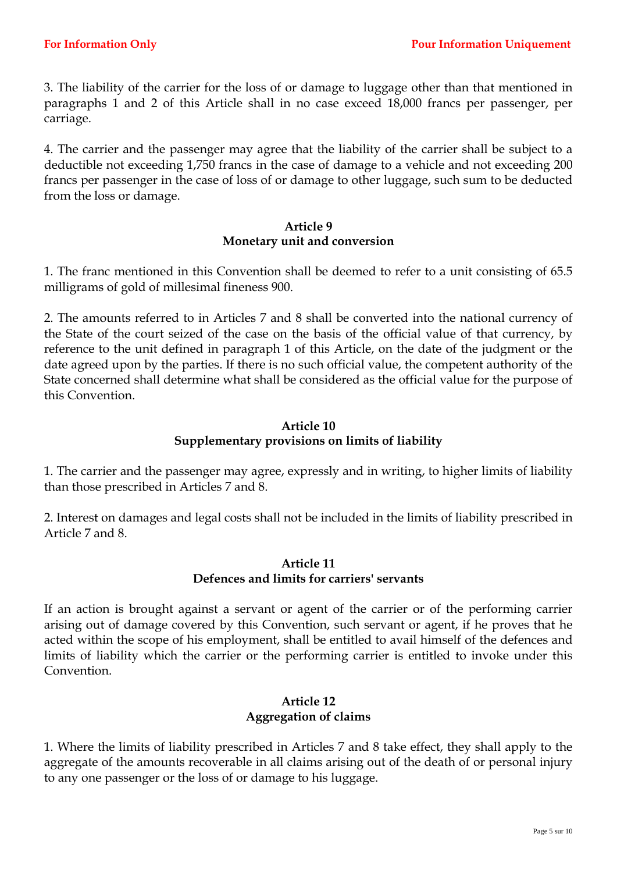3. The liability of the carrier for the loss of or damage to luggage other than that mentioned in paragraphs 1 and 2 of this Article shall in no case exceed 18,000 francs per passenger, per carriage.

4. The carrier and the passenger may agree that the liability of the carrier shall be subject to a deductible not exceeding 1,750 francs in the case of damage to a vehicle and not exceeding 200 francs per passenger in the case of loss of or damage to other luggage, such sum to be deducted from the loss or damage.

#### **Article 9 Monetary unit and conversion**

1. The franc mentioned in this Convention shall be deemed to refer to a unit consisting of 65.5 milligrams of gold of millesimal fineness 900.

2. The amounts referred to in Articles 7 and 8 shall be converted into the national currency of the State of the court seized of the case on the basis of the official value of that currency, by reference to the unit defined in paragraph 1 of this Article, on the date of the judgment or the date agreed upon by the parties. If there is no such official value, the competent authority of the State concerned shall determine what shall be considered as the official value for the purpose of this Convention.

# **Article 10 Supplementary provisions on limits of liability**

1. The carrier and the passenger may agree, expressly and in writing, to higher limits of liability than those prescribed in Articles 7 and 8.

2. Interest on damages and legal costs shall not be included in the limits of liability prescribed in Article 7 and 8.

# **Article 11 Defences and limits for carriers' servants**

If an action is brought against a servant or agent of the carrier or of the performing carrier arising out of damage covered by this Convention, such servant or agent, if he proves that he acted within the scope of his employment, shall be entitled to avail himself of the defences and limits of liability which the carrier or the performing carrier is entitled to invoke under this Convention.

#### **Article 12 Aggregation of claims**

1. Where the limits of liability prescribed in Articles 7 and 8 take effect, they shall apply to the aggregate of the amounts recoverable in all claims arising out of the death of or personal injury to any one passenger or the loss of or damage to his luggage.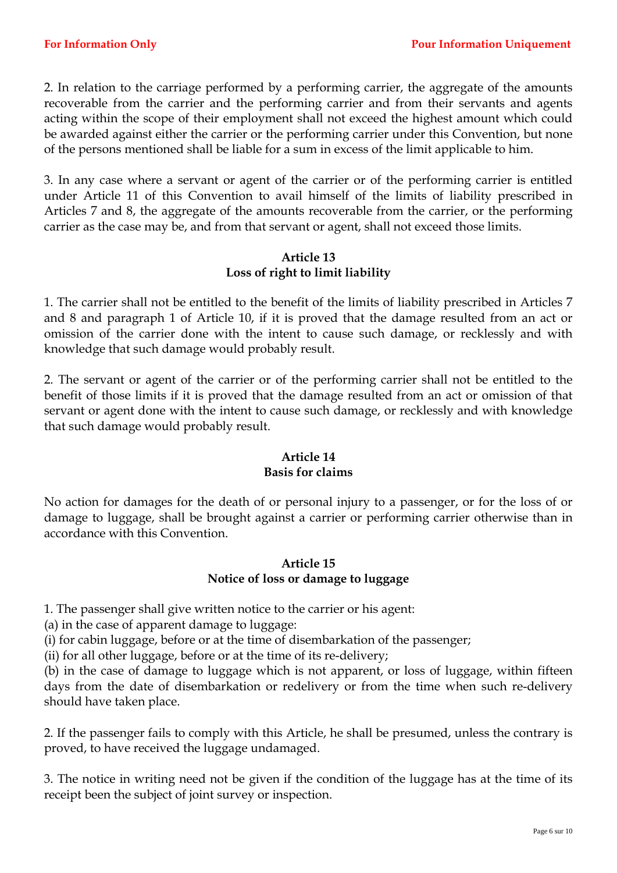2. In relation to the carriage performed by a performing carrier, the aggregate of the amounts recoverable from the carrier and the performing carrier and from their servants and agents acting within the scope of their employment shall not exceed the highest amount which could be awarded against either the carrier or the performing carrier under this Convention, but none of the persons mentioned shall be liable for a sum in excess of the limit applicable to him.

3. In any case where a servant or agent of the carrier or of the performing carrier is entitled under Article 11 of this Convention to avail himself of the limits of liability prescribed in Articles 7 and 8, the aggregate of the amounts recoverable from the carrier, or the performing carrier as the case may be, and from that servant or agent, shall not exceed those limits.

#### **Article 13 Loss of right to limit liability**

1. The carrier shall not be entitled to the benefit of the limits of liability prescribed in Articles 7 and 8 and paragraph 1 of Article 10, if it is proved that the damage resulted from an act or omission of the carrier done with the intent to cause such damage, or recklessly and with knowledge that such damage would probably result.

2. The servant or agent of the carrier or of the performing carrier shall not be entitled to the benefit of those limits if it is proved that the damage resulted from an act or omission of that servant or agent done with the intent to cause such damage, or recklessly and with knowledge that such damage would probably result.

#### **Article 14 Basis for claims**

No action for damages for the death of or personal injury to a passenger, or for the loss of or damage to luggage, shall be brought against a carrier or performing carrier otherwise than in accordance with this Convention.

#### **Article 15 Notice of loss or damage to luggage**

1. The passenger shall give written notice to the carrier or his agent:

(a) in the case of apparent damage to luggage:

(i) for cabin luggage, before or at the time of disembarkation of the passenger;

(ii) for all other luggage, before or at the time of its re-delivery;

(b) in the case of damage to luggage which is not apparent, or loss of luggage, within fifteen days from the date of disembarkation or redelivery or from the time when such re-delivery should have taken place.

2. If the passenger fails to comply with this Article, he shall be presumed, unless the contrary is proved, to have received the luggage undamaged.

3. The notice in writing need not be given if the condition of the luggage has at the time of its receipt been the subject of joint survey or inspection.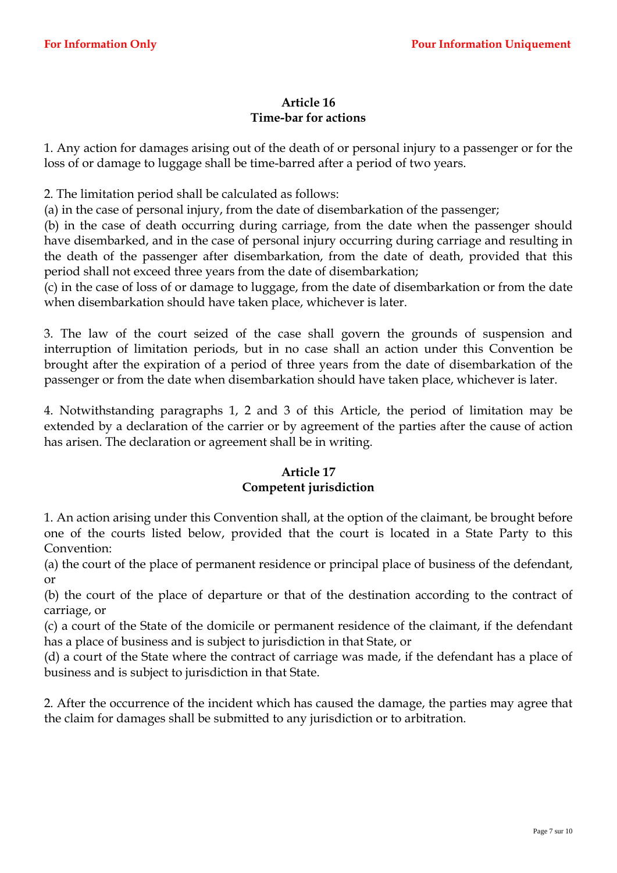# **Article 16 Time-bar for actions**

1. Any action for damages arising out of the death of or personal injury to a passenger or for the loss of or damage to luggage shall be time-barred after a period of two years.

2. The limitation period shall be calculated as follows:

(a) in the case of personal injury, from the date of disembarkation of the passenger;

(b) in the case of death occurring during carriage, from the date when the passenger should have disembarked, and in the case of personal injury occurring during carriage and resulting in the death of the passenger after disembarkation, from the date of death, provided that this period shall not exceed three years from the date of disembarkation;

(c) in the case of loss of or damage to luggage, from the date of disembarkation or from the date when disembarkation should have taken place, whichever is later.

3. The law of the court seized of the case shall govern the grounds of suspension and interruption of limitation periods, but in no case shall an action under this Convention be brought after the expiration of a period of three years from the date of disembarkation of the passenger or from the date when disembarkation should have taken place, whichever is later.

4. Notwithstanding paragraphs 1, 2 and 3 of this Article, the period of limitation may be extended by a declaration of the carrier or by agreement of the parties after the cause of action has arisen. The declaration or agreement shall be in writing.

# **Article 17 Competent jurisdiction**

1. An action arising under this Convention shall, at the option of the claimant, be brought before one of the courts listed below, provided that the court is located in a State Party to this Convention:

(a) the court of the place of permanent residence or principal place of business of the defendant, or

(b) the court of the place of departure or that of the destination according to the contract of carriage, or

(c) a court of the State of the domicile or permanent residence of the claimant, if the defendant has a place of business and is subject to jurisdiction in that State, or

(d) a court of the State where the contract of carriage was made, if the defendant has a place of business and is subject to jurisdiction in that State.

2. After the occurrence of the incident which has caused the damage, the parties may agree that the claim for damages shall be submitted to any jurisdiction or to arbitration.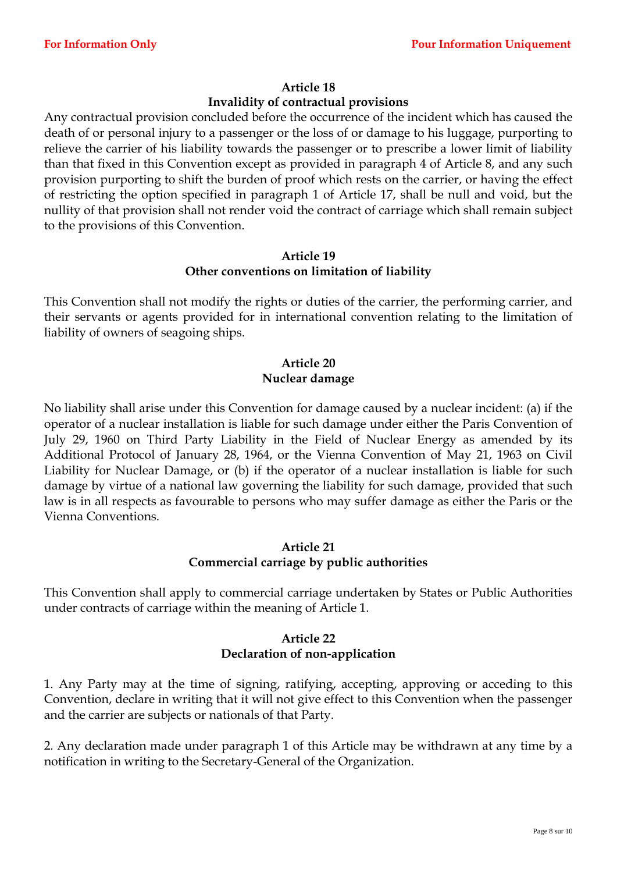# **Article 18**

## **Invalidity of contractual provisions**

Any contractual provision concluded before the occurrence of the incident which has caused the death of or personal injury to a passenger or the loss of or damage to his luggage, purporting to relieve the carrier of his liability towards the passenger or to prescribe a lower limit of liability than that fixed in this Convention except as provided in paragraph 4 of Article 8, and any such provision purporting to shift the burden of proof which rests on the carrier, or having the effect of restricting the option specified in paragraph 1 of Article 17, shall be null and void, but the nullity of that provision shall not render void the contract of carriage which shall remain subject to the provisions of this Convention.

#### **Article 19 Other conventions on limitation of liability**

This Convention shall not modify the rights or duties of the carrier, the performing carrier, and their servants or agents provided for in international convention relating to the limitation of liability of owners of seagoing ships.

# **Article 20 Nuclear damage**

No liability shall arise under this Convention for damage caused by a nuclear incident: (a) if the operator of a nuclear installation is liable for such damage under either the Paris Convention of July 29, 1960 on Third Party Liability in the Field of Nuclear Energy as amended by its Additional Protocol of January 28, 1964, or the Vienna Convention of May 21, 1963 on Civil Liability for Nuclear Damage, or (b) if the operator of a nuclear installation is liable for such damage by virtue of a national law governing the liability for such damage, provided that such law is in all respects as favourable to persons who may suffer damage as either the Paris or the Vienna Conventions.

#### **Article 21 Commercial carriage by public authorities**

This Convention shall apply to commercial carriage undertaken by States or Public Authorities under contracts of carriage within the meaning of Article 1.

# **Article 22 Declaration of non-application**

1. Any Party may at the time of signing, ratifying, accepting, approving or acceding to this Convention, declare in writing that it will not give effect to this Convention when the passenger and the carrier are subjects or nationals of that Party.

2. Any declaration made under paragraph 1 of this Article may be withdrawn at any time by a notification in writing to the Secretary-General of the Organization.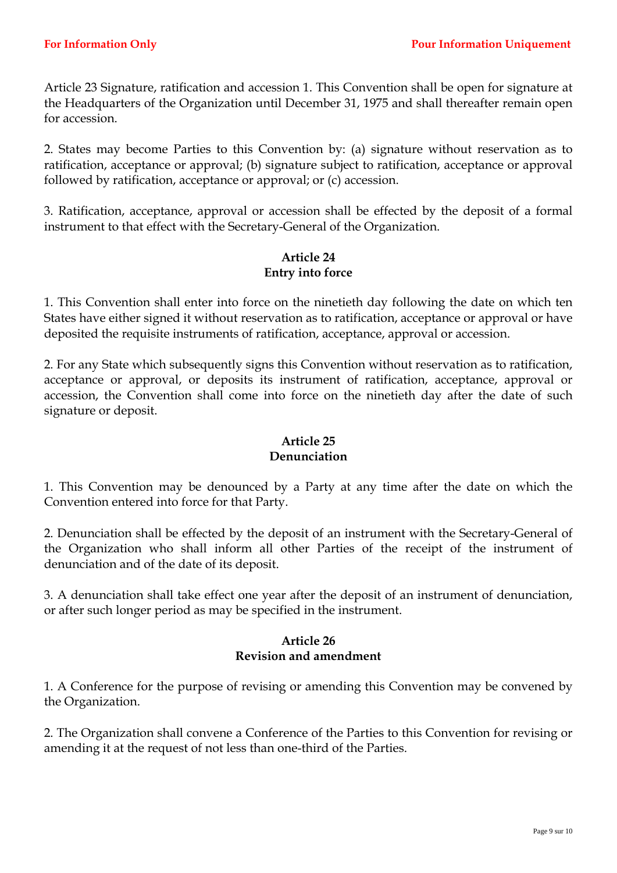Article 23 Signature, ratification and accession 1. This Convention shall be open for signature at the Headquarters of the Organization until December 31, 1975 and shall thereafter remain open for accession.

2. States may become Parties to this Convention by: (a) signature without reservation as to ratification, acceptance or approval; (b) signature subject to ratification, acceptance or approval followed by ratification, acceptance or approval; or (c) accession.

3. Ratification, acceptance, approval or accession shall be effected by the deposit of a formal instrument to that effect with the Secretary-General of the Organization.

## **Article 24 Entry into force**

1. This Convention shall enter into force on the ninetieth day following the date on which ten States have either signed it without reservation as to ratification, acceptance or approval or have deposited the requisite instruments of ratification, acceptance, approval or accession.

2. For any State which subsequently signs this Convention without reservation as to ratification, acceptance or approval, or deposits its instrument of ratification, acceptance, approval or accession, the Convention shall come into force on the ninetieth day after the date of such signature or deposit.

## **Article 25 Denunciation**

1. This Convention may be denounced by a Party at any time after the date on which the Convention entered into force for that Party.

2. Denunciation shall be effected by the deposit of an instrument with the Secretary-General of the Organization who shall inform all other Parties of the receipt of the instrument of denunciation and of the date of its deposit.

3. A denunciation shall take effect one year after the deposit of an instrument of denunciation, or after such longer period as may be specified in the instrument.

## **Article 26 Revision and amendment**

1. A Conference for the purpose of revising or amending this Convention may be convened by the Organization.

2. The Organization shall convene a Conference of the Parties to this Convention for revising or amending it at the request of not less than one-third of the Parties.